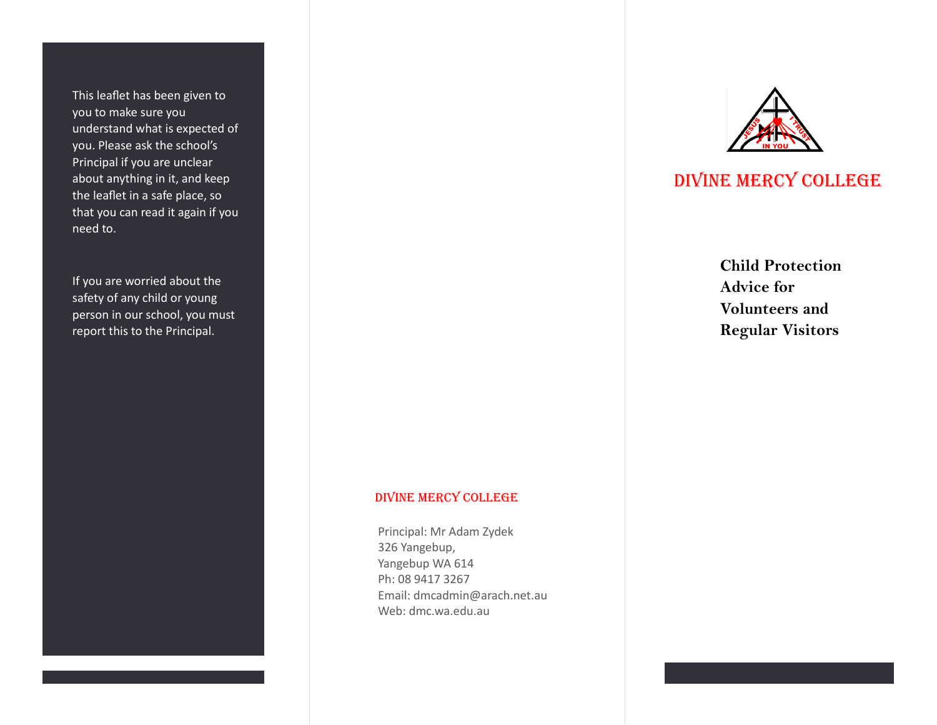This leaflet has been given to you to make sure you understand what is expected of you. Please ask the school's Principal if you are unclear about anything in it, and keep the leaflet in a safe place, so that you can read it again if you need to.

If you are worried about the safety of any child or young person in our school, you must report this to the Principal.

## DIVINE MERCY COLLEGE

Principal: Mr Adam Zydek 326 Yangebup, Yangebup WA 614 Ph: 08 9417 3267 Email: dmcadmin@arach.net.au Web: dmc.wa.edu.au



# DIVINE MERCY COLLEGE

**Child Protection Advice for Volunteers and Regular Visitors**